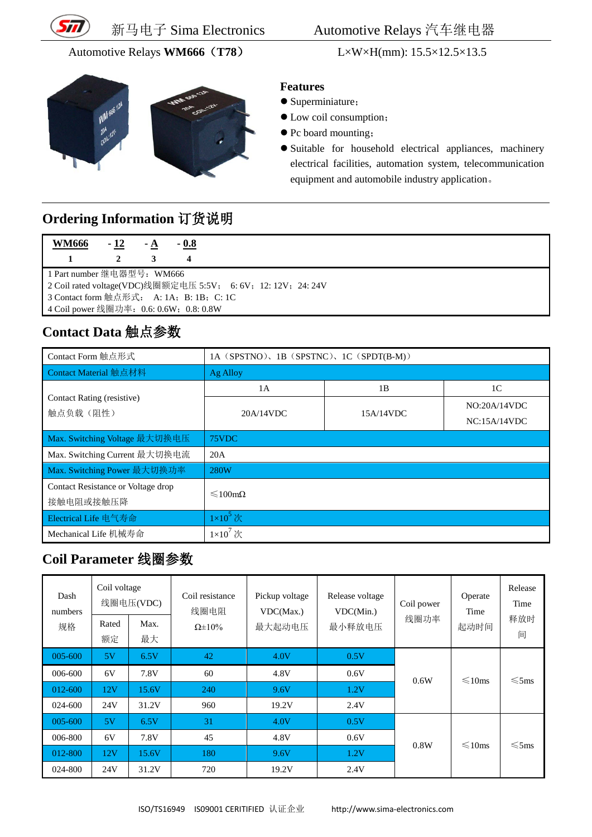

#### Automotive Relays **WM666**(**T78**) L×W×H(mm): 15.5×12.5×13.5



#### 新马电子 Sima Electronics Automotive Relays 汽车继电器

#### **Features**

- Superminiature;
- Low coil consumption;
- Pc board mounting;
- Suitable for household electrical appliances, machinery electrical facilities, automation system, telecommunication equipment and automobile industry application。

## **Ordering Information** 订货说明

| <b>WM666</b>                                                  | $-12$ | $-A$ | $-0.8$ |  |  |  |
|---------------------------------------------------------------|-------|------|--------|--|--|--|
|                                                               |       |      |        |  |  |  |
| 1 Part number 继电器型号: WM666                                    |       |      |        |  |  |  |
| 2 Coil rated voltage(VDC)线圈额定电压 5:5V; 6: 6V; 12: 12V; 24: 24V |       |      |        |  |  |  |
| 3 Contact form 触点形式: A: 1A; B: 1B; C: 1C                      |       |      |        |  |  |  |
| 4 Coil power 线圈功率: 0.6: 0.6W; 0.8: 0.8W                       |       |      |        |  |  |  |

## **Contact Data** 触点参数

| Contact Form 触点形式                  | 1A (SPSTNO), 1B (SPSTNC), 1C (SPDT(B-M)) |           |                |  |  |
|------------------------------------|------------------------------------------|-----------|----------------|--|--|
| Contact Material 触点材料              | Ag Alloy                                 |           |                |  |  |
|                                    | 1A                                       | 1B        | 1 <sup>C</sup> |  |  |
| Contact Rating (resistive)         | 20A/14VDC                                |           | NO:20A/14VDC   |  |  |
| 触点负载(阻性)                           |                                          | 15A/14VDC | NC:15A/14VDC   |  |  |
| Max. Switching Voltage 最大切换电压      | 75VDC                                    |           |                |  |  |
| Max. Switching Current 最大切换电流      | 20A                                      |           |                |  |  |
| Max. Switching Power 最大切换功率        | 280W                                     |           |                |  |  |
| Contact Resistance or Voltage drop | $\leq 100 \text{m}\Omega$                |           |                |  |  |
| 接触电阻或接触压降                          |                                          |           |                |  |  |
| Electrical Life 电气寿命               | $1\times10^5$ 次                          |           |                |  |  |
| Mechanical Life 机械寿命               | $1\times10^7$ 次                          |           |                |  |  |

### **Coil Parameter** 线圈参数

| Dash<br>numbers<br>规格 | Coil voltage<br>Rated<br>额定 | 线圈电压(VDC)<br>Max.<br>最大 | Coil resistance<br>线圈电阻<br>$\Omega \pm 10\%$ | Pickup voltage<br>VDC(Max.)<br>最大起动电压 | Release voltage<br>VDC(Min.)<br>最小释放电压 | Coil power<br>线圈功率 | Operate<br>Time<br>起动时间 | Release<br>Time<br>释放时<br>间 |
|-----------------------|-----------------------------|-------------------------|----------------------------------------------|---------------------------------------|----------------------------------------|--------------------|-------------------------|-----------------------------|
| 005-600               | 5V                          | 6.5V                    | 42                                           | 4.0V                                  | 0.5V                                   |                    |                         |                             |
| 006-600               | 6V                          | 7.8V                    | 60                                           | 4.8V                                  | 0.6V                                   |                    | $\leq 10$ ms            | $\leqslant$ 5ms             |
| 012-600               | 12V                         | 15.6V                   | 240                                          | 9.6V                                  | 1.2V                                   | 0.6W               |                         |                             |
| 024-600               | 24V                         | 31.2V                   | 960                                          | 19.2V                                 | 2.4V                                   |                    |                         |                             |
| 005-600               | 5V                          | 6.5V                    | 31                                           | 4.0V                                  | 0.5V                                   |                    |                         |                             |
| 006-800               | 6V                          | 7.8V                    | 45                                           | 4.8V                                  | 0.6V                                   | 0.8W               | $\leq 10$ ms            | $\leqslant$ 5ms             |
| 012-800               | 12V                         | 15.6V                   | 180                                          | 9.6V                                  | 1.2V                                   |                    |                         |                             |
| 024-800               | 24V                         | 31.2V                   | 720                                          | 19.2V                                 | 2.4V                                   |                    |                         |                             |